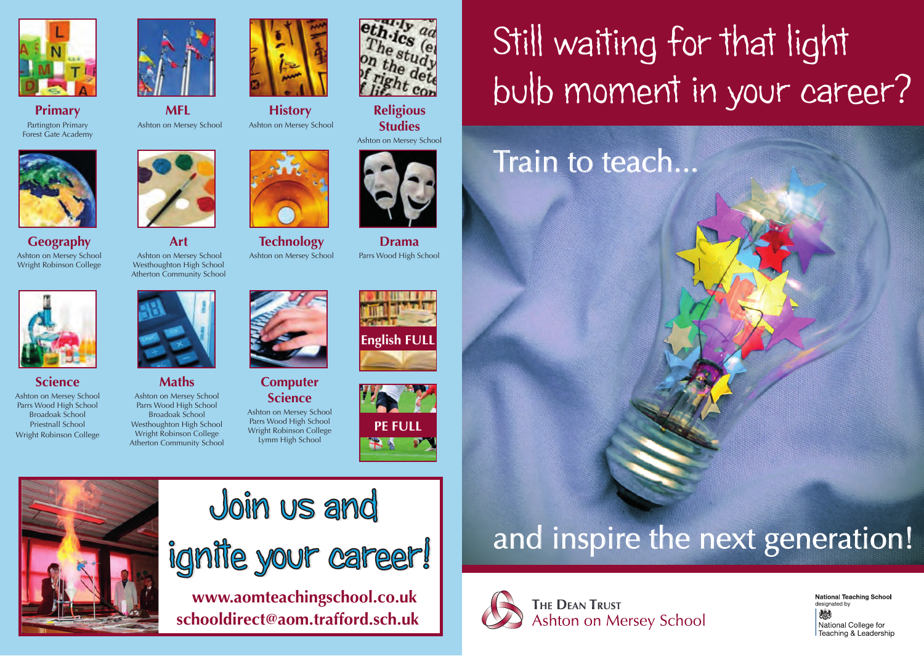





**Geography** Ashton on Mersey School Wright Robinson College



**Science** Ashton on Mersey School

Parrs Wood High School Broadoak School Priestnall School Wright Robinson College



**Art**

**MFL**Ashton on Mersey School

**Maths** Ashton on Mersey School Parrs Wood High School Broadoak School Westhoughton High School Wright Robinson College Atherton Community School





**History** Ashton on Mersey School

**Technology** Ashton on Mersey School

**Computer Science** Ashton on Mersey School Parrs Wood High School Wright Robinson College Lymm High School

**www.aomteachingschool.co.uk** 

ignite your career!

**schooldirect@aom.trafford.sch.uk**

Join us and



**Religious Studies**

Ashton on Mersey School



**Drama** Parrs Wood High School





# Still waiting for that light bulb moment in your career?

### Train to teach...

## and inspire the next generation!



**THE DEAN TRUST** Ashton on Mersey School National Teaching School designated by 燃 National College for Teaching & Leadership